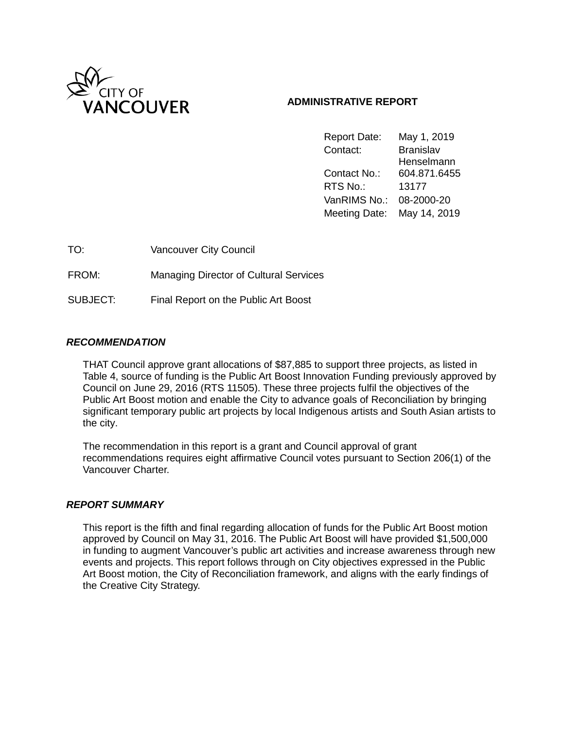

### **ADMINISTRATIVE REPORT**

Report Date: May 1, 2019 Contact: Branislav Henselmann Contact No.: 604.871.6455 RTS No.: 13177 VanRIMS No.: 08-2000-20 Meeting Date: May 14, 2019

| TO:             | <b>Vancouver City Council</b>                 |
|-----------------|-----------------------------------------------|
| FROM:           | <b>Managing Director of Cultural Services</b> |
| <b>SUBJECT:</b> | Final Report on the Public Art Boost          |

### *RECOMMENDATION*

THAT Council approve grant allocations of \$87,885 to support three projects, as listed in Table 4, source of funding is the Public Art Boost Innovation Funding previously approved by Council on June 29, 2016 (RTS 11505). These three projects fulfil the objectives of the Public Art Boost motion and enable the City to advance goals of Reconciliation by bringing significant temporary public art projects by local Indigenous artists and South Asian artists to the city.

The recommendation in this report is a grant and Council approval of grant recommendations requires eight affirmative Council votes pursuant to Section 206(1) of the Vancouver Charter.

### *REPORT SUMMARY*

This report is the fifth and final regarding allocation of funds for the Public Art Boost motion approved by Council on May 31, 2016. The Public Art Boost will have provided \$1,500,000 in funding to augment Vancouver's public art activities and increase awareness through new events and projects. This report follows through on City objectives expressed in the Public Art Boost motion, the City of Reconciliation framework, and aligns with the early findings of the Creative City Strategy.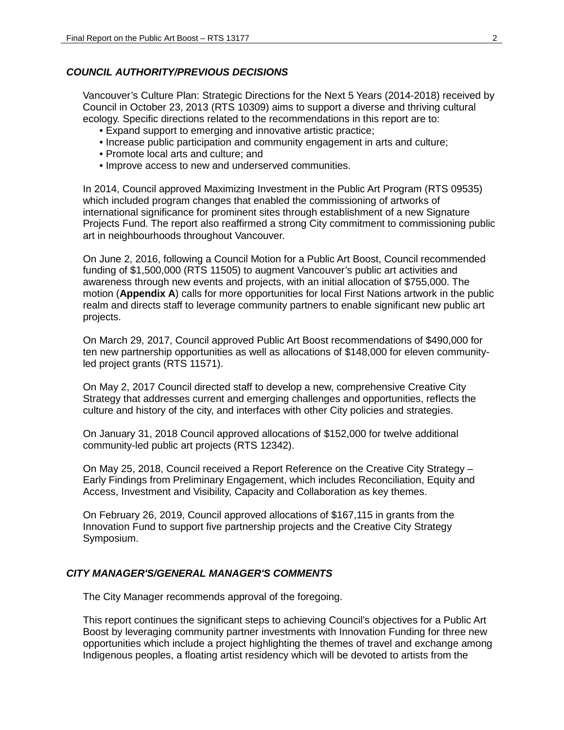#### *COUNCIL AUTHORITY/PREVIOUS DECISIONS*

Vancouver's Culture Plan: Strategic Directions for the Next 5 Years (2014-2018) received by Council in October 23, 2013 (RTS 10309) aims to support a diverse and thriving cultural ecology. Specific directions related to the recommendations in this report are to:

- Expand support to emerging and innovative artistic practice;
- Increase public participation and community engagement in arts and culture;
- Promote local arts and culture; and
- Improve access to new and underserved communities.

In 2014, Council approved Maximizing Investment in the Public Art Program (RTS 09535) which included program changes that enabled the commissioning of artworks of international significance for prominent sites through establishment of a new Signature Projects Fund. The report also reaffirmed a strong City commitment to commissioning public art in neighbourhoods throughout Vancouver.

On June 2, 2016, following a Council Motion for a Public Art Boost, Council recommended funding of \$1,500,000 (RTS 11505) to augment Vancouver's public art activities and awareness through new events and projects, with an initial allocation of \$755,000. The motion (**Appendix A**) calls for more opportunities for local First Nations artwork in the public realm and directs staff to leverage community partners to enable significant new public art projects.

On March 29, 2017, Council approved Public Art Boost recommendations of \$490,000 for ten new partnership opportunities as well as allocations of \$148,000 for eleven communityled project grants (RTS 11571).

On May 2, 2017 Council directed staff to develop a new, comprehensive Creative City Strategy that addresses current and emerging challenges and opportunities, reflects the culture and history of the city, and interfaces with other City policies and strategies.

On January 31, 2018 Council approved allocations of \$152,000 for twelve additional community-led public art projects (RTS 12342).

On May 25, 2018, Council received a Report Reference on the Creative City Strategy – Early Findings from Preliminary Engagement, which includes Reconciliation, Equity and Access, Investment and Visibility, Capacity and Collaboration as key themes.

On February 26, 2019, Council approved allocations of \$167,115 in grants from the Innovation Fund to support five partnership projects and the Creative City Strategy Symposium.

#### *CITY MANAGER'S/GENERAL MANAGER'S COMMENTS*

The City Manager recommends approval of the foregoing.

This report continues the significant steps to achieving Council's objectives for a Public Art Boost by leveraging community partner investments with Innovation Funding for three new opportunities which include a project highlighting the themes of travel and exchange among Indigenous peoples, a floating artist residency which will be devoted to artists from the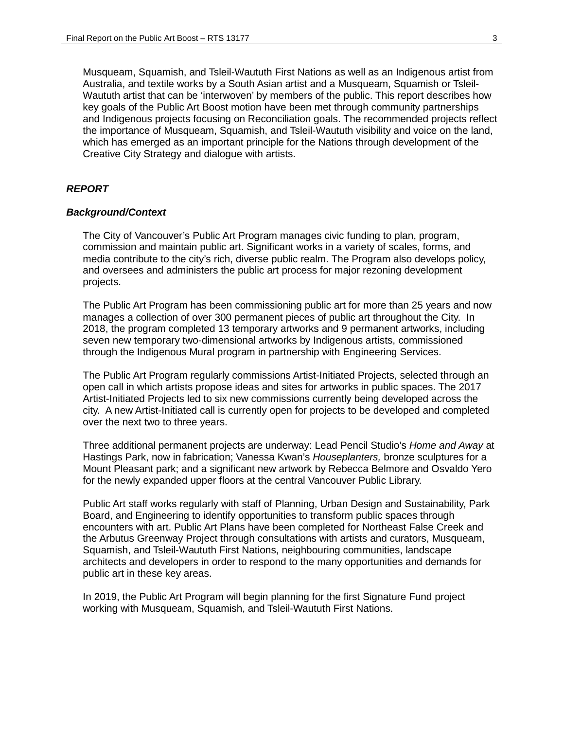Musqueam, Squamish, and Tsleil-Waututh First Nations as well as an Indigenous artist from Australia, and textile works by a South Asian artist and a Musqueam, Squamish or Tsleil-Waututh artist that can be 'interwoven' by members of the public. This report describes how key goals of the Public Art Boost motion have been met through community partnerships and Indigenous projects focusing on Reconciliation goals. The recommended projects reflect the importance of Musqueam, Squamish, and Tsleil-Waututh visibility and voice on the land, which has emerged as an important principle for the Nations through development of the Creative City Strategy and dialogue with artists.

#### *REPORT*

#### *Background/Context*

The City of Vancouver's Public Art Program manages civic funding to plan, program, commission and maintain public art. Significant works in a variety of scales, forms, and media contribute to the city's rich, diverse public realm. The Program also develops policy, and oversees and administers the public art process for major rezoning development projects.

The Public Art Program has been commissioning public art for more than 25 years and now manages a collection of over 300 permanent pieces of public art throughout the City. In 2018, the program completed 13 temporary artworks and 9 permanent artworks, including seven new temporary two-dimensional artworks by Indigenous artists, commissioned through the Indigenous Mural program in partnership with Engineering Services.

The Public Art Program regularly commissions Artist-Initiated Projects, selected through an open call in which artists propose ideas and sites for artworks in public spaces. The 2017 Artist-Initiated Projects led to six new commissions currently being developed across the city. A new Artist-Initiated call is currently open for projects to be developed and completed over the next two to three years.

Three additional permanent projects are underway: Lead Pencil Studio's *Home and Away* at Hastings Park, now in fabrication; Vanessa Kwan's *Houseplanters,* bronze sculptures for a Mount Pleasant park; and a significant new artwork by Rebecca Belmore and Osvaldo Yero for the newly expanded upper floors at the central Vancouver Public Library.

Public Art staff works regularly with staff of Planning, Urban Design and Sustainability, Park Board, and Engineering to identify opportunities to transform public spaces through encounters with art. Public Art Plans have been completed for Northeast False Creek and the Arbutus Greenway Project through consultations with artists and curators, Musqueam, Squamish, and Tsleil-Waututh First Nations, neighbouring communities, landscape architects and developers in order to respond to the many opportunities and demands for public art in these key areas.

In 2019, the Public Art Program will begin planning for the first Signature Fund project working with Musqueam, Squamish, and Tsleil-Waututh First Nations.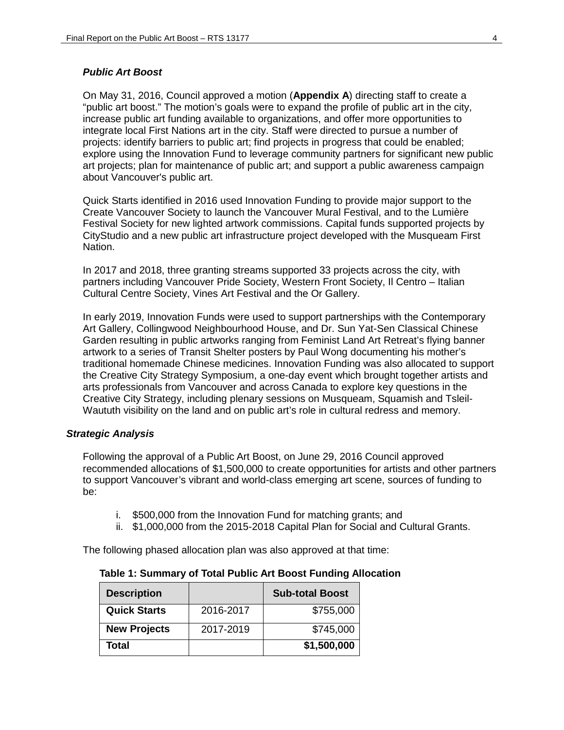#### *Public Art Boost*

On May 31, 2016, Council approved a motion (**Appendix A**) directing staff to create a "public art boost." The motion's goals were to expand the profile of public art in the city, increase public art funding available to organizations, and offer more opportunities to integrate local First Nations art in the city. Staff were directed to pursue a number of projects: identify barriers to public art; find projects in progress that could be enabled; explore using the Innovation Fund to leverage community partners for significant new public art projects; plan for maintenance of public art; and support a public awareness campaign about Vancouver's public art.

Quick Starts identified in 2016 used Innovation Funding to provide major support to the Create Vancouver Society to launch the Vancouver Mural Festival, and to the Lumière Festival Society for new lighted artwork commissions. Capital funds supported projects by CityStudio and a new public art infrastructure project developed with the Musqueam First Nation.

In 2017 and 2018, three granting streams supported 33 projects across the city, with partners including Vancouver Pride Society, Western Front Society, Il Centro – Italian Cultural Centre Society, Vines Art Festival and the Or Gallery.

In early 2019, Innovation Funds were used to support partnerships with the Contemporary Art Gallery, Collingwood Neighbourhood House, and Dr. Sun Yat-Sen Classical Chinese Garden resulting in public artworks ranging from Feminist Land Art Retreat's flying banner artwork to a series of Transit Shelter posters by Paul Wong documenting his mother's traditional homemade Chinese medicines. Innovation Funding was also allocated to support the Creative City Strategy Symposium, a one-day event which brought together artists and arts professionals from Vancouver and across Canada to explore key questions in the Creative City Strategy, including plenary sessions on Musqueam, Squamish and Tsleil-Waututh visibility on the land and on public art's role in cultural redress and memory.

#### *Strategic Analysis*

Following the approval of a Public Art Boost, on June 29, 2016 Council approved recommended allocations of \$1,500,000 to create opportunities for artists and other partners to support Vancouver's vibrant and world-class emerging art scene, sources of funding to be:

- i. \$500,000 from the Innovation Fund for matching grants; and
- ii. \$1,000,000 from the 2015-2018 Capital Plan for Social and Cultural Grants.

The following phased allocation plan was also approved at that time:

| <b>Description</b>  |           | <b>Sub-total Boost</b> |
|---------------------|-----------|------------------------|
| <b>Quick Starts</b> | 2016-2017 | \$755,000              |
| <b>New Projects</b> | 2017-2019 | \$745,000              |
| Total               |           | \$1,500,000            |

**Table 1: Summary of Total Public Art Boost Funding Allocation**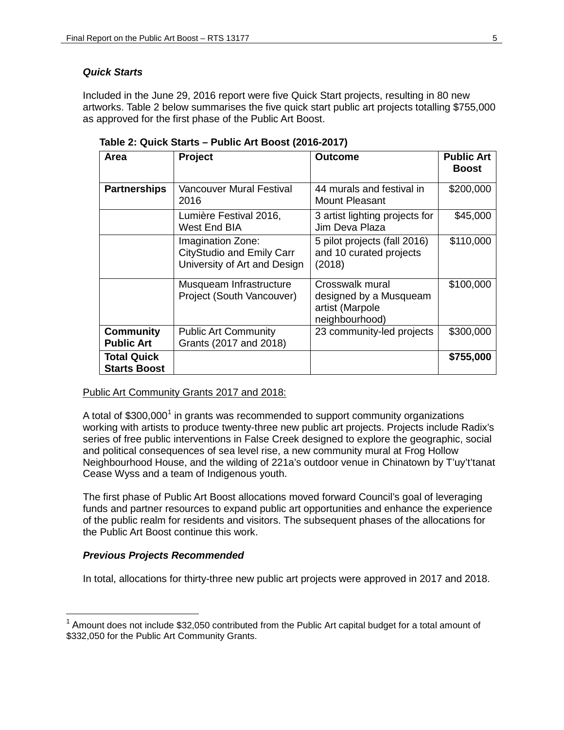### *Quick Starts*

Included in the June 29, 2016 report were five Quick Start projects, resulting in 80 new artworks. Table 2 below summarises the five quick start public art projects totalling \$755,000 as approved for the first phase of the Public Art Boost.

| Area                                      | Project                                                                               | <b>Outcome</b>                                                                 | <b>Public Art</b><br><b>Boost</b> |
|-------------------------------------------|---------------------------------------------------------------------------------------|--------------------------------------------------------------------------------|-----------------------------------|
| <b>Partnerships</b>                       | Vancouver Mural Festival<br>2016                                                      | 44 murals and festival in<br>Mount Pleasant                                    | \$200,000                         |
|                                           | Lumière Festival 2016,<br>West End BIA                                                | 3 artist lighting projects for<br>Jim Deva Plaza                               | \$45,000                          |
|                                           | Imagination Zone:<br><b>CityStudio and Emily Carr</b><br>University of Art and Design | 5 pilot projects (fall 2016)<br>and 10 curated projects<br>(2018)              | \$110,000                         |
|                                           | Musqueam Infrastructure<br>Project (South Vancouver)                                  | Crosswalk mural<br>designed by a Musqueam<br>artist (Marpole<br>neighbourhood) | \$100,000                         |
| <b>Community</b><br><b>Public Art</b>     | <b>Public Art Community</b><br>Grants (2017 and 2018)                                 | 23 community-led projects                                                      | \$300,000                         |
| <b>Total Quick</b><br><b>Starts Boost</b> |                                                                                       |                                                                                | \$755,000                         |

**Table 2: Quick Starts – Public Art Boost (2016-2017)**

### Public Art Community Grants 2017 and 2018:

A total of  $$300,000<sup>1</sup>$  $$300,000<sup>1</sup>$  $$300,000<sup>1</sup>$  in grants was recommended to support community organizations working with artists to produce twenty-three new public art projects. Projects include Radix's series of free public interventions in False Creek designed to explore the geographic, social and political consequences of sea level rise, a new community mural at Frog Hollow Neighbourhood House, and the wilding of 221a's outdoor venue in Chinatown by T'uy't'tanat Cease Wyss and a team of Indigenous youth.

The first phase of Public Art Boost allocations moved forward Council's goal of leveraging funds and partner resources to expand public art opportunities and enhance the experience of the public realm for residents and visitors. The subsequent phases of the allocations for the Public Art Boost continue this work.

### *Previous Projects Recommended*

In total, allocations for thirty-three new public art projects were approved in 2017 and 2018.

<span id="page-4-0"></span> $1$  Amount does not include \$32,050 contributed from the Public Art capital budget for a total amount of \$332,050 for the Public Art Community Grants.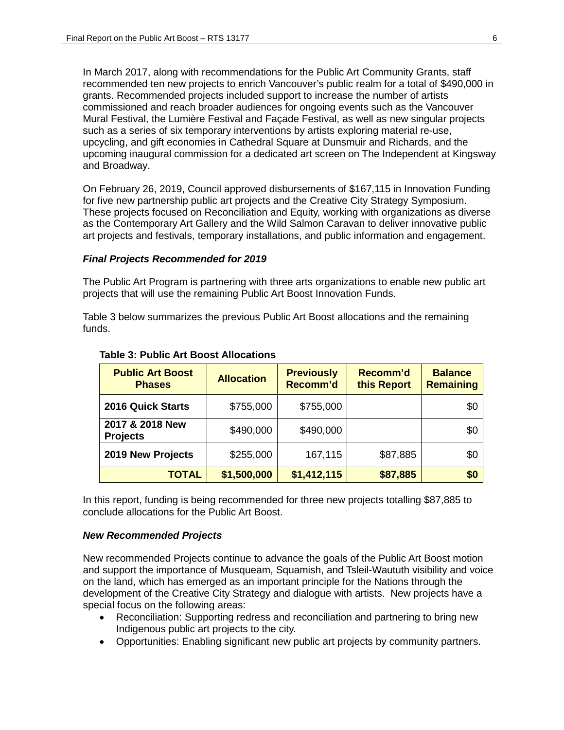In March 2017, along with recommendations for the Public Art Community Grants, staff recommended ten new projects to enrich Vancouver's public realm for a total of \$490,000 in grants. Recommended projects included support to increase the number of artists commissioned and reach broader audiences for ongoing events such as the Vancouver Mural Festival, the Lumière Festival and Façade Festival, as well as new singular projects such as a series of six temporary interventions by artists exploring material re-use, upcycling, and gift economies in Cathedral Square at Dunsmuir and Richards, and the upcoming inaugural commission for a dedicated art screen on The Independent at Kingsway and Broadway.

On February 26, 2019, Council approved disbursements of \$167,115 in Innovation Funding for five new partnership public art projects and the Creative City Strategy Symposium. These projects focused on Reconciliation and Equity, working with organizations as diverse as the Contemporary Art Gallery and the Wild Salmon Caravan to deliver innovative public art projects and festivals, temporary installations, and public information and engagement.

### *Final Projects Recommended for 2019*

The Public Art Program is partnering with three arts organizations to enable new public art projects that will use the remaining Public Art Boost Innovation Funds.

Table 3 below summarizes the previous Public Art Boost allocations and the remaining funds.

| <b>Public Art Boost</b><br><b>Phases</b> | <b>Allocation</b> | <b>Previously</b><br>Recomm'd | Recomm'd<br>this Report | <b>Balance</b><br><b>Remaining</b> |
|------------------------------------------|-------------------|-------------------------------|-------------------------|------------------------------------|
| <b>2016 Quick Starts</b>                 | \$755,000         | \$755,000                     |                         | \$0                                |
| 2017 & 2018 New<br><b>Projects</b>       | \$490,000         | \$490,000                     |                         | \$0                                |
| 2019 New Projects                        | \$255,000         | 167,115                       | \$87,885                | \$0                                |
| <b>TOTAL</b>                             | \$1,500,000       | \$1,412,115                   | \$87,885                | \$0                                |

#### **Table 3: Public Art Boost Allocations**

In this report, funding is being recommended for three new projects totalling \$87,885 to conclude allocations for the Public Art Boost.

#### *New Recommended Projects*

New recommended Projects continue to advance the goals of the Public Art Boost motion and support the importance of Musqueam, Squamish, and Tsleil-Waututh visibility and voice on the land, which has emerged as an important principle for the Nations through the development of the Creative City Strategy and dialogue with artists. New projects have a special focus on the following areas:

- Reconciliation: Supporting redress and reconciliation and partnering to bring new Indigenous public art projects to the city.
- Opportunities: Enabling significant new public art projects by community partners.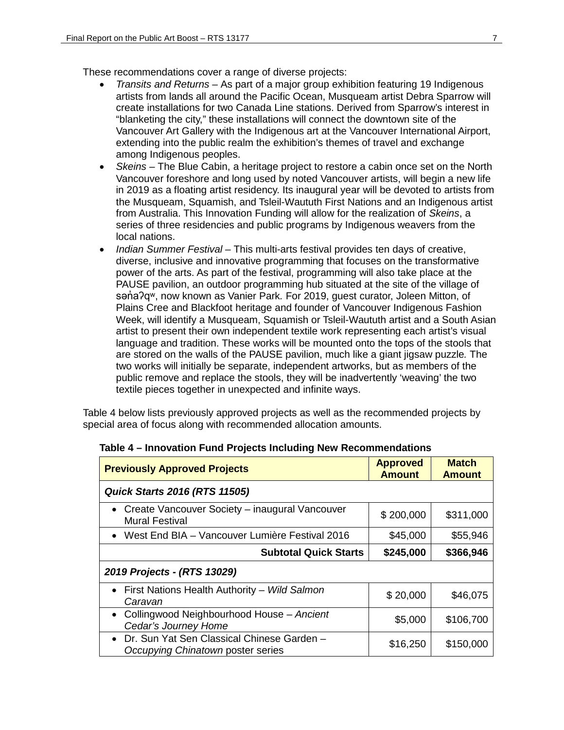These recommendations cover a range of diverse projects:

- *Transits and Returns –* As part of a major group exhibition featuring 19 Indigenous artists from lands all around the Pacific Ocean, Musqueam artist Debra Sparrow will create installations for two Canada Line stations. Derived from Sparrow's interest in "blanketing the city," these installations will connect the downtown site of the Vancouver Art Gallery with the Indigenous art at the Vancouver International Airport, extending into the public realm the exhibition's themes of travel and exchange among Indigenous peoples.
- *Skeins –* The Blue Cabin, a heritage project to restore a cabin once set on the North Vancouver foreshore and long used by noted Vancouver artists, will begin a new life in 2019 as a floating artist residency. Its inaugural year will be devoted to artists from the Musqueam, Squamish, and Tsleil-Waututh First Nations and an Indigenous artist from Australia. This Innovation Funding will allow for the realization of *Skeins*, a series of three residencies and public programs by Indigenous weavers from the local nations.
- *Indian Summer Festival –* This multi-arts festival provides ten days of creative, diverse, inclusive and innovative programming that focuses on the transformative power of the arts. As part of the festival, programming will also take place at the PAUSE pavilion, an outdoor programming hub situated at the site of the village of sana?qw, now known as Vanier Park. For 2019, guest curator, Joleen Mitton, of Plains Cree and Blackfoot heritage and founder of Vancouver Indigenous Fashion Week, will identify a Musqueam, Squamish or Tsleil-Waututh artist and a South Asian artist to present their own independent textile work representing each artist's visual language and tradition. These works will be mounted onto the tops of the stools that are stored on the walls of the PAUSE pavilion, much like a giant jigsaw puzzle*.* The two works will initially be separate, independent artworks, but as members of the public remove and replace the stools, they will be inadvertently 'weaving' the two textile pieces together in unexpected and infinite ways.

Table 4 below lists previously approved projects as well as the recommended projects by special area of focus along with recommended allocation amounts.

| <b>Previously Approved Projects</b>                                                          | <b>Approved</b><br><b>Amount</b> | <b>Match</b><br><b>Amount</b> |  |  |
|----------------------------------------------------------------------------------------------|----------------------------------|-------------------------------|--|--|
| <b>Quick Starts 2016 (RTS 11505)</b>                                                         |                                  |                               |  |  |
| • Create Vancouver Society – inaugural Vancouver<br><b>Mural Festival</b>                    | \$200,000                        | \$311,000                     |  |  |
| • West End BIA – Vancouver Lumière Festival 2016                                             | \$45,000                         | \$55,946                      |  |  |
| <b>Subtotal Quick Starts</b>                                                                 | \$245,000                        | \$366,946                     |  |  |
| 2019 Projects - (RTS 13029)                                                                  |                                  |                               |  |  |
| First Nations Health Authority - Wild Salmon<br>$\bullet$<br>Caravan                         | \$20,000                         | \$46,075                      |  |  |
| • Collingwood Neighbourhood House - Ancient<br>Cedar's Journey Home                          | \$5,000                          | \$106,700                     |  |  |
| Dr. Sun Yat Sen Classical Chinese Garden -<br>$\bullet$<br>Occupying Chinatown poster series | \$16,250                         | \$150,000                     |  |  |

#### **Table 4 – Innovation Fund Projects Including New Recommendations**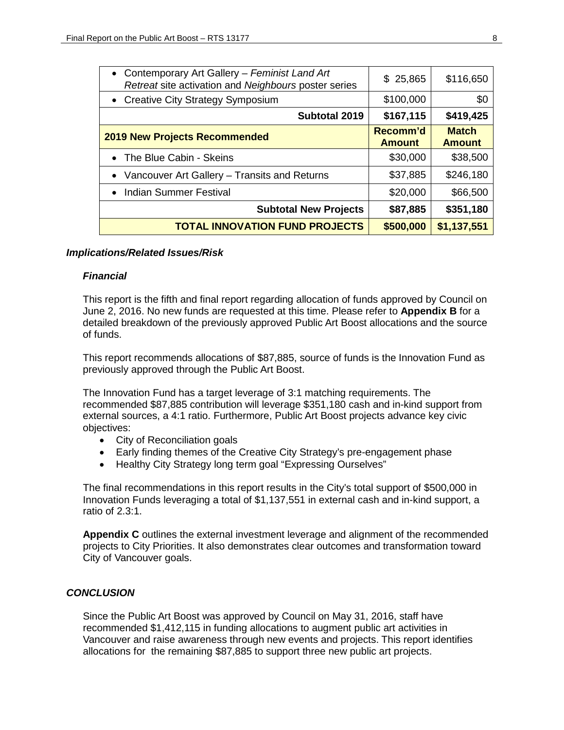| • Contemporary Art Gallery - Feminist Land Art<br>Retreat site activation and Neighbours poster series | \$25,865                  | \$116,650                     |
|--------------------------------------------------------------------------------------------------------|---------------------------|-------------------------------|
| • Creative City Strategy Symposium                                                                     | \$100,000                 | \$0                           |
| Subtotal 2019                                                                                          | \$167,115                 | \$419,425                     |
| <b>2019 New Projects Recommended</b>                                                                   | Recomm'd<br><b>Amount</b> | <b>Match</b><br><b>Amount</b> |
| • The Blue Cabin - Skeins                                                                              | \$30,000                  | \$38,500                      |
| • Vancouver Art Gallery - Transits and Returns                                                         | \$37,885                  | \$246,180                     |
| • Indian Summer Festival                                                                               | \$20,000                  | \$66,500                      |
| <b>Subtotal New Projects</b>                                                                           | \$87,885                  | \$351,180                     |
| <b>TOTAL INNOVATION FUND PROJECTS</b>                                                                  | \$500,000                 | \$1,137,551                   |

### *Implications/Related Issues/Risk*

#### *Financial*

This report is the fifth and final report regarding allocation of funds approved by Council on June 2, 2016. No new funds are requested at this time. Please refer to **Appendix B** for a detailed breakdown of the previously approved Public Art Boost allocations and the source of funds.

This report recommends allocations of \$87,885, source of funds is the Innovation Fund as previously approved through the Public Art Boost.

The Innovation Fund has a target leverage of 3:1 matching requirements. The recommended \$87,885 contribution will leverage \$351,180 cash and in-kind support from external sources, a 4:1 ratio. Furthermore, Public Art Boost projects advance key civic objectives:

- City of Reconciliation goals
- Early finding themes of the Creative City Strategy's pre-engagement phase
- Healthy City Strategy long term goal "Expressing Ourselves"

The final recommendations in this report results in the City's total support of \$500,000 in Innovation Funds leveraging a total of \$1,137,551 in external cash and in-kind support, a ratio of 2.3:1.

**Appendix C** outlines the external investment leverage and alignment of the recommended projects to City Priorities. It also demonstrates clear outcomes and transformation toward City of Vancouver goals.

### *CONCLUSION*

Since the Public Art Boost was approved by Council on May 31, 2016, staff have recommended \$1,412,115 in funding allocations to augment public art activities in Vancouver and raise awareness through new events and projects. This report identifies allocations for the remaining \$87,885 to support three new public art projects.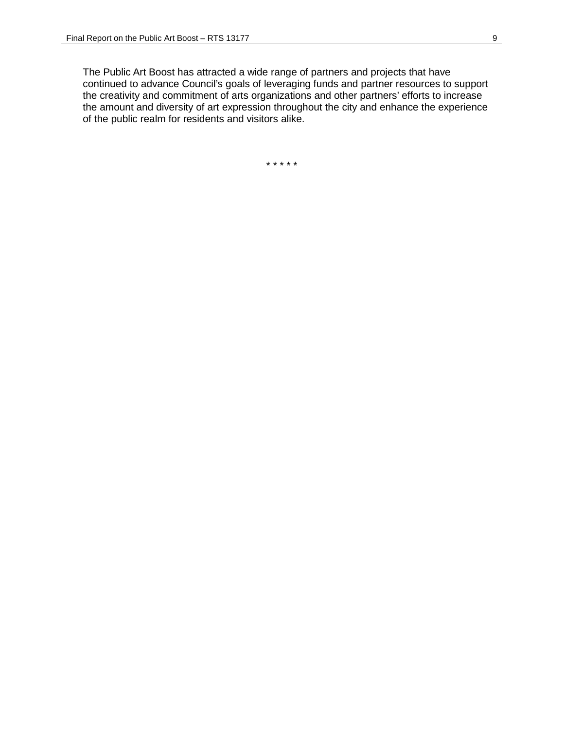The Public Art Boost has attracted a wide range of partners and projects that have continued to advance Council's goals of leveraging funds and partner resources to support the creativity and commitment of arts organizations and other partners' efforts to increase the amount and diversity of art expression throughout the city and enhance the experience of the public realm for residents and visitors alike.

\* \* \* \* \*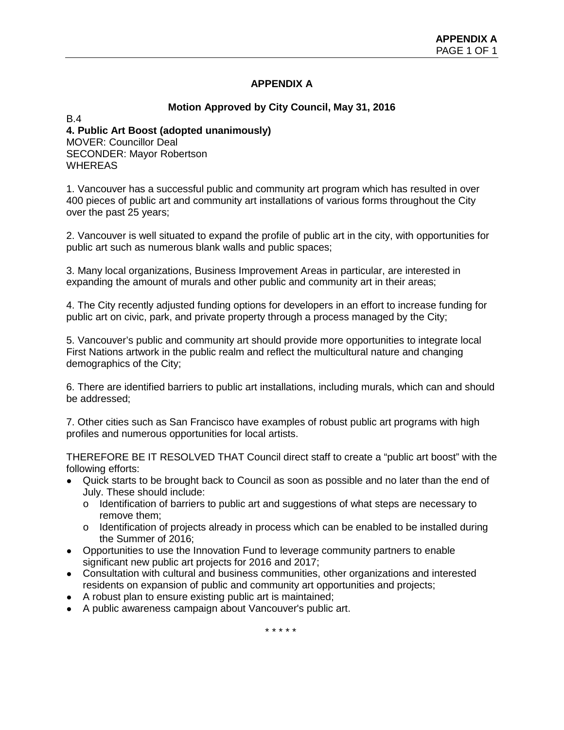# **APPENDIX A**

# **Motion Approved by City Council, May 31, 2016**

B.4

### **4. Public Art Boost (adopted unanimously)** MOVER: Councillor Deal SECONDER: Mayor Robertson WHEREAS

1. Vancouver has a successful public and community art program which has resulted in over 400 pieces of public art and community art installations of various forms throughout the City over the past 25 years;

2. Vancouver is well situated to expand the profile of public art in the city, with opportunities for public art such as numerous blank walls and public spaces;

3. Many local organizations, Business Improvement Areas in particular, are interested in expanding the amount of murals and other public and community art in their areas;

4. The City recently adjusted funding options for developers in an effort to increase funding for public art on civic, park, and private property through a process managed by the City;

5. Vancouver's public and community art should provide more opportunities to integrate local First Nations artwork in the public realm and reflect the multicultural nature and changing demographics of the City;

6. There are identified barriers to public art installations, including murals, which can and should be addressed;

7. Other cities such as San Francisco have examples of robust public art programs with high profiles and numerous opportunities for local artists.

THEREFORE BE IT RESOLVED THAT Council direct staff to create a "public art boost" with the following efforts:

- Quick starts to be brought back to Council as soon as possible and no later than the end of July. These should include:
	- $\circ$  Identification of barriers to public art and suggestions of what steps are necessary to remove them;
	- $\circ$  Identification of projects already in process which can be enabled to be installed during the Summer of 2016;
- Opportunities to use the Innovation Fund to leverage community partners to enable significant new public art projects for 2016 and 2017;
- Consultation with cultural and business communities, other organizations and interested residents on expansion of public and community art opportunities and projects;
- A robust plan to ensure existing public art is maintained;
- A public awareness campaign about Vancouver's public art.

\* \* \* \* \*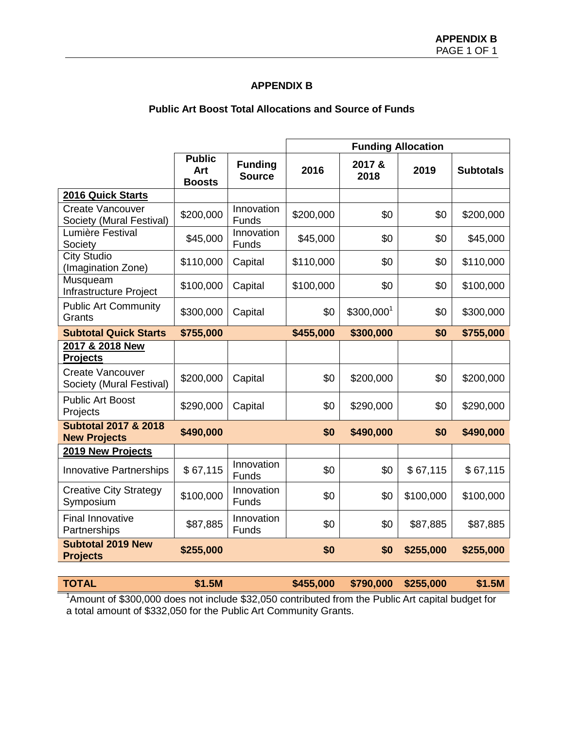### **APPENDIX B**

# **Public Art Boost Total Allocations and Source of Funds**

|                                                        |                                       |                                 | <b>Funding Allocation</b> |                        |           |                  |
|--------------------------------------------------------|---------------------------------------|---------------------------------|---------------------------|------------------------|-----------|------------------|
|                                                        | <b>Public</b><br>Art<br><b>Boosts</b> | <b>Funding</b><br><b>Source</b> | 2016                      | 2017 &<br>2018         | 2019      | <b>Subtotals</b> |
| 2016 Quick Starts                                      |                                       |                                 |                           |                        |           |                  |
| <b>Create Vancouver</b><br>Society (Mural Festival)    | \$200,000                             | Innovation<br>Funds             | \$200,000                 | \$0                    | \$0       | \$200,000        |
| Lumière Festival<br>Society                            | \$45,000                              | Innovation<br>Funds             | \$45,000                  | \$0                    | \$0       | \$45,000         |
| <b>City Studio</b><br>(Imagination Zone)               | \$110,000                             | Capital                         | \$110,000                 | \$0                    | \$0       | \$110,000        |
| Musqueam<br>Infrastructure Project                     | \$100,000                             | Capital                         | \$100,000                 | \$0                    | \$0       | \$100,000        |
| <b>Public Art Community</b><br>Grants                  | \$300,000                             | Capital                         | \$0                       | \$300,000 <sup>1</sup> | \$0       | \$300,000        |
| <b>Subtotal Quick Starts</b>                           | \$755,000                             |                                 | \$455,000                 | \$300,000              | \$0       | \$755,000        |
| 2017 & 2018 New<br><b>Projects</b>                     |                                       |                                 |                           |                        |           |                  |
| <b>Create Vancouver</b><br>Society (Mural Festival)    | \$200,000                             | Capital                         | \$0                       | \$200,000              | \$0       | \$200,000        |
| <b>Public Art Boost</b><br>Projects                    | \$290,000                             | Capital                         | \$0                       | \$290,000              | \$0       | \$290,000        |
| <b>Subtotal 2017 &amp; 2018</b><br><b>New Projects</b> | \$490,000                             |                                 | \$0                       | \$490,000              | \$0       | \$490,000        |
| 2019 New Projects                                      |                                       |                                 |                           |                        |           |                  |
| <b>Innovative Partnerships</b>                         | \$67,115                              | Innovation<br>Funds             | \$0                       | \$0                    | \$67,115  | \$67,115         |
| <b>Creative City Strategy</b><br>Symposium             | \$100,000                             | Innovation<br>Funds             | \$0                       | \$0                    | \$100,000 | \$100,000        |
| <b>Final Innovative</b><br>Partnerships                | \$87,885                              | Innovation<br>Funds             | \$0                       | \$0                    | \$87,885  | \$87,885         |
| <b>Subtotal 2019 New</b><br><b>Projects</b>            | \$255,000                             |                                 | \$0                       | \$0                    | \$255,000 | \$255,000        |

<sup>1</sup>Amount of \$300,000 does not include \$32,050 contributed from the Public Art capital budget for a total amount of \$332,050 for the Public Art Community Grants.

**TOTAL \$1.5M \$455,000 \$790,000 \$255,000 \$1.5M**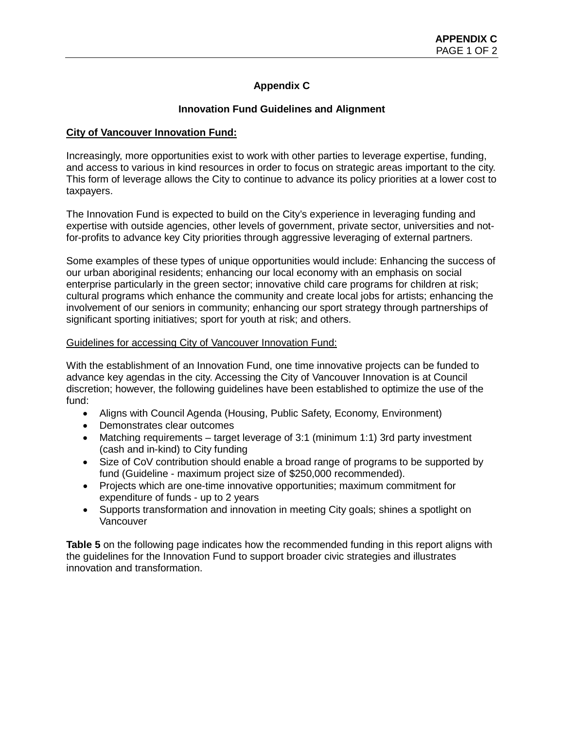# **Appendix C**

# **Innovation Fund Guidelines and Alignment**

### **City of Vancouver Innovation Fund:**

Increasingly, more opportunities exist to work with other parties to leverage expertise, funding, and access to various in kind resources in order to focus on strategic areas important to the city. This form of leverage allows the City to continue to advance its policy priorities at a lower cost to taxpayers.

The Innovation Fund is expected to build on the City's experience in leveraging funding and expertise with outside agencies, other levels of government, private sector, universities and notfor-profits to advance key City priorities through aggressive leveraging of external partners.

Some examples of these types of unique opportunities would include: Enhancing the success of our urban aboriginal residents; enhancing our local economy with an emphasis on social enterprise particularly in the green sector; innovative child care programs for children at risk; cultural programs which enhance the community and create local jobs for artists; enhancing the involvement of our seniors in community; enhancing our sport strategy through partnerships of significant sporting initiatives; sport for youth at risk; and others.

### Guidelines for accessing City of Vancouver Innovation Fund:

With the establishment of an Innovation Fund, one time innovative projects can be funded to advance key agendas in the city. Accessing the City of Vancouver Innovation is at Council discretion; however, the following guidelines have been established to optimize the use of the fund:

- Aligns with Council Agenda (Housing, Public Safety, Economy, Environment)
- Demonstrates clear outcomes
- Matching requirements target leverage of 3:1 (minimum 1:1) 3rd party investment (cash and in-kind) to City funding
- Size of CoV contribution should enable a broad range of programs to be supported by fund (Guideline - maximum project size of \$250,000 recommended).
- Projects which are one-time innovative opportunities; maximum commitment for expenditure of funds - up to 2 years
- Supports transformation and innovation in meeting City goals; shines a spotlight on Vancouver

**Table 5** on the following page indicates how the recommended funding in this report aligns with the guidelines for the Innovation Fund to support broader civic strategies and illustrates innovation and transformation.